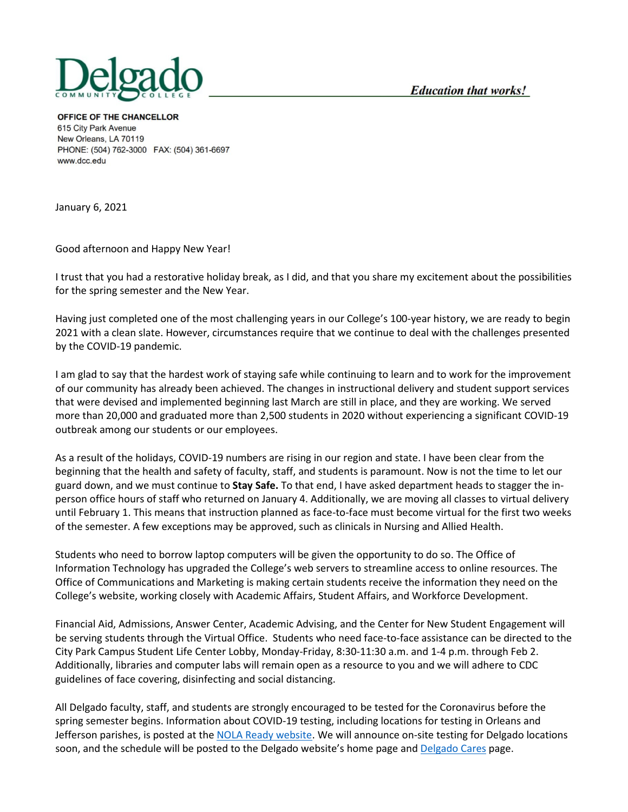

OFFICE OF THE CHANCELLOR 615 City Park Avenue New Orleans, LA 70119 PHONE: (504) 762-3000 FAX: (504) 361-6697 www.dcc.edu

January 6, 2021

Good afternoon and Happy New Year!

I trust that you had a restorative holiday break, as I did, and that you share my excitement about the possibilities for the spring semester and the New Year.

Having just completed one of the most challenging years in our College's 100-year history, we are ready to begin 2021 with a clean slate. However, circumstances require that we continue to deal with the challenges presented by the COVID-19 pandemic.

I am glad to say that the hardest work of staying safe while continuing to learn and to work for the improvement of our community has already been achieved. The changes in instructional delivery and student support services that were devised and implemented beginning last March are still in place, and they are working. We served more than 20,000 and graduated more than 2,500 students in 2020 without experiencing a significant COVID-19 outbreak among our students or our employees.

As a result of the holidays, COVID-19 numbers are rising in our region and state. I have been clear from the beginning that the health and safety of faculty, staff, and students is paramount. Now is not the time to let our guard down, and we must continue to **Stay Safe.** To that end, I have asked department heads to stagger the inperson office hours of staff who returned on January 4. Additionally, we are moving all classes to virtual delivery until February 1. This means that instruction planned as face-to-face must become virtual for the first two weeks of the semester. A few exceptions may be approved, such as clinicals in Nursing and Allied Health.

Students who need to borrow laptop computers will be given the opportunity to do so. The Office of Information Technology has upgraded the College's web servers to streamline access to online resources. The Office of Communications and Marketing is making certain students receive the information they need on the College's website, working closely with Academic Affairs, Student Affairs, and Workforce Development.

Financial Aid, Admissions, Answer Center, Academic Advising, and the Center for New Student Engagement will be serving students through the Virtual Office. Students who need face-to-face assistance can be directed to the City Park Campus Student Life Center Lobby, Monday-Friday, 8:30-11:30 a.m. and 1-4 p.m. through Feb 2. Additionally, libraries and computer labs will remain open as a resource to you and we will adhere to CDC guidelines of face covering, disinfecting and social distancing.

All Delgado faculty, staff, and students are strongly encouraged to be tested for the Coronavirus before the spring semester begins. Information about COVID-19 testing, including locations for testing in Orleans and Jefferson parishes, is posted at the [NOLA Ready website.](https://ready.nola.gov/incident/coronavirus/) We will announce on-site testing for Delgado locations soon, and the schedule will be posted to the Delgado website's home page and [Delgado Cares](https://www.dcc.edu/coronavirus/default.aspx) page.